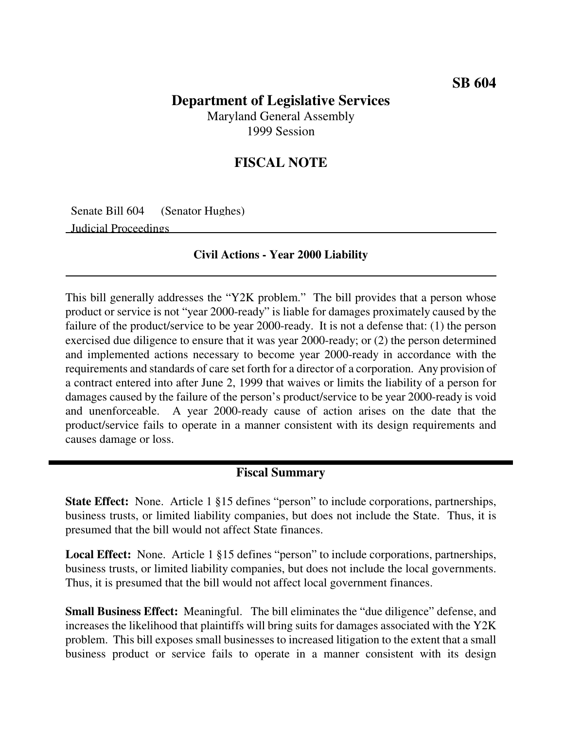## **Department of Legislative Services**

Maryland General Assembly 1999 Session

## **FISCAL NOTE**

Senate Bill 604 (Senator Hughes)

Judicial Proceedings

#### **Civil Actions - Year 2000 Liability**

This bill generally addresses the "Y2K problem." The bill provides that a person whose product or service is not "year 2000-ready" is liable for damages proximately caused by the failure of the product/service to be year 2000-ready. It is not a defense that: (1) the person exercised due diligence to ensure that it was year 2000-ready; or (2) the person determined and implemented actions necessary to become year 2000-ready in accordance with the requirements and standards of care set forth for a director of a corporation. Any provision of a contract entered into after June 2, 1999 that waives or limits the liability of a person for damages caused by the failure of the person's product/service to be year 2000-ready is void and unenforceable. A year 2000-ready cause of action arises on the date that the product/service fails to operate in a manner consistent with its design requirements and causes damage or loss.

### **Fiscal Summary**

**State Effect:** None. Article 1 §15 defines "person" to include corporations, partnerships, business trusts, or limited liability companies, but does not include the State. Thus, it is presumed that the bill would not affect State finances.

**Local Effect:** None. Article 1 §15 defines "person" to include corporations, partnerships, business trusts, or limited liability companies, but does not include the local governments. Thus, it is presumed that the bill would not affect local government finances.

**Small Business Effect:** Meaningful. The bill eliminates the "due diligence" defense, and increases the likelihood that plaintiffs will bring suits for damages associated with the Y2K problem. This bill exposes small businesses to increased litigation to the extent that a small business product or service fails to operate in a manner consistent with its design